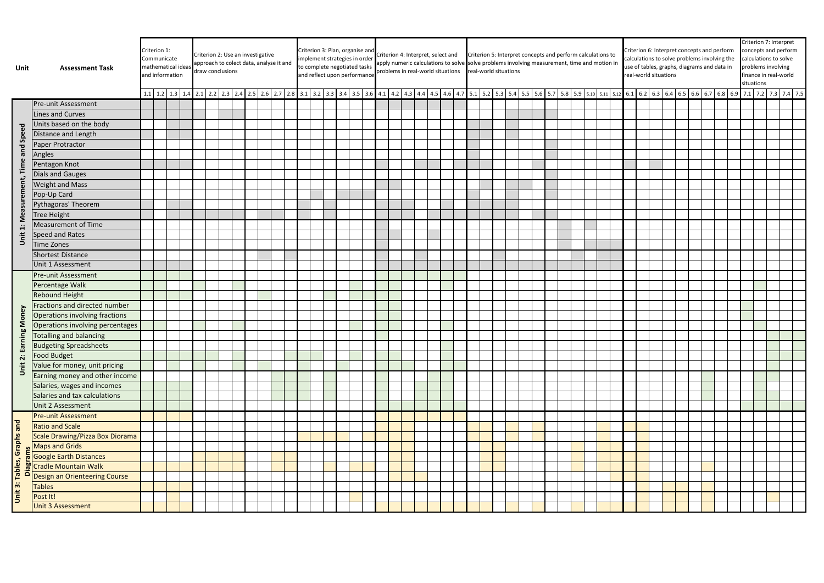| Unit                       | <b>Assessment Task</b>           |  | Criterion 1:<br>Communicate<br>mathematical ideas<br>and information |  |  | Criterion 2: Use an investigative<br>draw conclusions |  |  |  | approach to colect data, analyse it and |  |  | Criterion 3: Plan, organise and<br>implement strategies in order<br>to complete negotiated tasks<br>and reflect upon performance |  |  |  |  | Criterion 4: Interpret, select and<br>problems in real-world situations |  | Criterion 5: Interpret concepts and perform calculations to<br>apply numeric calculations to solve solve problems involving measurement, time and motion in<br>real-world situations<br>1.1 1.2 1.3 1.4 2.1 2.2 2.3 2.4 2.5 2.6 2.7 2.8 3.1 3.2 3.3 3.4 3.5 3.6 4.1 4.2 4.3 4.4 4.5 4.6 4.7 5.1 5.2 5.3 5.4 5.5 5.6 5.7 5.8 5.9 5.10 5.11 5.12 6.1 6.2 6.2 6.2 6.5 6.6 6.7 6.8 6.9 7.1 7.2 7.3 7.4 7.5 |  |  |  |  |  |  |  |  |  |  | Criterion 6: Interpret concepts and perform<br>calculations to solve problems involving the<br>use of tables, graphs, diagrams and data in<br>real-world situations |  |  |  |  |  |  | Criterion 7: Interpret<br>concepts and perform<br>calculations to solve<br>problems involving<br>finance in real-world<br>situations |  |  |  |  |
|----------------------------|----------------------------------|--|----------------------------------------------------------------------|--|--|-------------------------------------------------------|--|--|--|-----------------------------------------|--|--|----------------------------------------------------------------------------------------------------------------------------------|--|--|--|--|-------------------------------------------------------------------------|--|--------------------------------------------------------------------------------------------------------------------------------------------------------------------------------------------------------------------------------------------------------------------------------------------------------------------------------------------------------------------------------------------------------|--|--|--|--|--|--|--|--|--|--|---------------------------------------------------------------------------------------------------------------------------------------------------------------------|--|--|--|--|--|--|--------------------------------------------------------------------------------------------------------------------------------------|--|--|--|--|
|                            |                                  |  |                                                                      |  |  |                                                       |  |  |  |                                         |  |  |                                                                                                                                  |  |  |  |  |                                                                         |  |                                                                                                                                                                                                                                                                                                                                                                                                        |  |  |  |  |  |  |  |  |  |  |                                                                                                                                                                     |  |  |  |  |  |  |                                                                                                                                      |  |  |  |  |
|                            | <b>Pre-unit Assessment</b>       |  |                                                                      |  |  |                                                       |  |  |  |                                         |  |  |                                                                                                                                  |  |  |  |  |                                                                         |  |                                                                                                                                                                                                                                                                                                                                                                                                        |  |  |  |  |  |  |  |  |  |  |                                                                                                                                                                     |  |  |  |  |  |  |                                                                                                                                      |  |  |  |  |
|                            | Lines and Curves                 |  |                                                                      |  |  |                                                       |  |  |  |                                         |  |  |                                                                                                                                  |  |  |  |  |                                                                         |  |                                                                                                                                                                                                                                                                                                                                                                                                        |  |  |  |  |  |  |  |  |  |  |                                                                                                                                                                     |  |  |  |  |  |  |                                                                                                                                      |  |  |  |  |
|                            | Units based on the body          |  |                                                                      |  |  |                                                       |  |  |  |                                         |  |  |                                                                                                                                  |  |  |  |  |                                                                         |  |                                                                                                                                                                                                                                                                                                                                                                                                        |  |  |  |  |  |  |  |  |  |  |                                                                                                                                                                     |  |  |  |  |  |  |                                                                                                                                      |  |  |  |  |
| Speed                      | Distance and Length              |  |                                                                      |  |  |                                                       |  |  |  |                                         |  |  |                                                                                                                                  |  |  |  |  |                                                                         |  |                                                                                                                                                                                                                                                                                                                                                                                                        |  |  |  |  |  |  |  |  |  |  |                                                                                                                                                                     |  |  |  |  |  |  |                                                                                                                                      |  |  |  |  |
|                            | Paper Protractor                 |  |                                                                      |  |  |                                                       |  |  |  |                                         |  |  |                                                                                                                                  |  |  |  |  |                                                                         |  |                                                                                                                                                                                                                                                                                                                                                                                                        |  |  |  |  |  |  |  |  |  |  |                                                                                                                                                                     |  |  |  |  |  |  |                                                                                                                                      |  |  |  |  |
| and                        | Angles                           |  |                                                                      |  |  |                                                       |  |  |  |                                         |  |  |                                                                                                                                  |  |  |  |  |                                                                         |  |                                                                                                                                                                                                                                                                                                                                                                                                        |  |  |  |  |  |  |  |  |  |  |                                                                                                                                                                     |  |  |  |  |  |  |                                                                                                                                      |  |  |  |  |
| Time                       | Pentagon Knot                    |  |                                                                      |  |  |                                                       |  |  |  |                                         |  |  |                                                                                                                                  |  |  |  |  |                                                                         |  |                                                                                                                                                                                                                                                                                                                                                                                                        |  |  |  |  |  |  |  |  |  |  |                                                                                                                                                                     |  |  |  |  |  |  |                                                                                                                                      |  |  |  |  |
|                            | Dials and Gauges                 |  |                                                                      |  |  |                                                       |  |  |  |                                         |  |  |                                                                                                                                  |  |  |  |  |                                                                         |  |                                                                                                                                                                                                                                                                                                                                                                                                        |  |  |  |  |  |  |  |  |  |  |                                                                                                                                                                     |  |  |  |  |  |  |                                                                                                                                      |  |  |  |  |
| Measurement                | <b>Weight and Mass</b>           |  |                                                                      |  |  |                                                       |  |  |  |                                         |  |  |                                                                                                                                  |  |  |  |  |                                                                         |  |                                                                                                                                                                                                                                                                                                                                                                                                        |  |  |  |  |  |  |  |  |  |  |                                                                                                                                                                     |  |  |  |  |  |  |                                                                                                                                      |  |  |  |  |
|                            | Pop-Up Card                      |  |                                                                      |  |  |                                                       |  |  |  |                                         |  |  |                                                                                                                                  |  |  |  |  |                                                                         |  |                                                                                                                                                                                                                                                                                                                                                                                                        |  |  |  |  |  |  |  |  |  |  |                                                                                                                                                                     |  |  |  |  |  |  |                                                                                                                                      |  |  |  |  |
|                            | Pythagoras' Theorem              |  |                                                                      |  |  |                                                       |  |  |  |                                         |  |  |                                                                                                                                  |  |  |  |  |                                                                         |  |                                                                                                                                                                                                                                                                                                                                                                                                        |  |  |  |  |  |  |  |  |  |  |                                                                                                                                                                     |  |  |  |  |  |  |                                                                                                                                      |  |  |  |  |
|                            | <b>Tree Height</b>               |  |                                                                      |  |  |                                                       |  |  |  |                                         |  |  |                                                                                                                                  |  |  |  |  |                                                                         |  |                                                                                                                                                                                                                                                                                                                                                                                                        |  |  |  |  |  |  |  |  |  |  |                                                                                                                                                                     |  |  |  |  |  |  |                                                                                                                                      |  |  |  |  |
| $\blacksquare$             | Measurement of Time              |  |                                                                      |  |  |                                                       |  |  |  |                                         |  |  |                                                                                                                                  |  |  |  |  |                                                                         |  |                                                                                                                                                                                                                                                                                                                                                                                                        |  |  |  |  |  |  |  |  |  |  |                                                                                                                                                                     |  |  |  |  |  |  |                                                                                                                                      |  |  |  |  |
| Jnit                       | Speed and Rates                  |  |                                                                      |  |  |                                                       |  |  |  |                                         |  |  |                                                                                                                                  |  |  |  |  |                                                                         |  |                                                                                                                                                                                                                                                                                                                                                                                                        |  |  |  |  |  |  |  |  |  |  |                                                                                                                                                                     |  |  |  |  |  |  |                                                                                                                                      |  |  |  |  |
|                            | <b>Time Zones</b>                |  |                                                                      |  |  |                                                       |  |  |  |                                         |  |  |                                                                                                                                  |  |  |  |  |                                                                         |  |                                                                                                                                                                                                                                                                                                                                                                                                        |  |  |  |  |  |  |  |  |  |  |                                                                                                                                                                     |  |  |  |  |  |  |                                                                                                                                      |  |  |  |  |
|                            | <b>Shortest Distance</b>         |  |                                                                      |  |  |                                                       |  |  |  |                                         |  |  |                                                                                                                                  |  |  |  |  |                                                                         |  |                                                                                                                                                                                                                                                                                                                                                                                                        |  |  |  |  |  |  |  |  |  |  |                                                                                                                                                                     |  |  |  |  |  |  |                                                                                                                                      |  |  |  |  |
|                            | Unit 1 Assessment                |  |                                                                      |  |  |                                                       |  |  |  |                                         |  |  |                                                                                                                                  |  |  |  |  |                                                                         |  |                                                                                                                                                                                                                                                                                                                                                                                                        |  |  |  |  |  |  |  |  |  |  |                                                                                                                                                                     |  |  |  |  |  |  |                                                                                                                                      |  |  |  |  |
|                            | <b>Pre-unit Assessment</b>       |  |                                                                      |  |  |                                                       |  |  |  |                                         |  |  |                                                                                                                                  |  |  |  |  |                                                                         |  |                                                                                                                                                                                                                                                                                                                                                                                                        |  |  |  |  |  |  |  |  |  |  |                                                                                                                                                                     |  |  |  |  |  |  |                                                                                                                                      |  |  |  |  |
|                            | Percentage Walk                  |  |                                                                      |  |  |                                                       |  |  |  |                                         |  |  |                                                                                                                                  |  |  |  |  |                                                                         |  |                                                                                                                                                                                                                                                                                                                                                                                                        |  |  |  |  |  |  |  |  |  |  |                                                                                                                                                                     |  |  |  |  |  |  |                                                                                                                                      |  |  |  |  |
|                            | <b>Rebound Height</b>            |  |                                                                      |  |  |                                                       |  |  |  |                                         |  |  |                                                                                                                                  |  |  |  |  |                                                                         |  |                                                                                                                                                                                                                                                                                                                                                                                                        |  |  |  |  |  |  |  |  |  |  |                                                                                                                                                                     |  |  |  |  |  |  |                                                                                                                                      |  |  |  |  |
|                            | Fractions and directed number    |  |                                                                      |  |  |                                                       |  |  |  |                                         |  |  |                                                                                                                                  |  |  |  |  |                                                                         |  |                                                                                                                                                                                                                                                                                                                                                                                                        |  |  |  |  |  |  |  |  |  |  |                                                                                                                                                                     |  |  |  |  |  |  |                                                                                                                                      |  |  |  |  |
| rning Money                | Operations involving fractions   |  |                                                                      |  |  |                                                       |  |  |  |                                         |  |  |                                                                                                                                  |  |  |  |  |                                                                         |  |                                                                                                                                                                                                                                                                                                                                                                                                        |  |  |  |  |  |  |  |  |  |  |                                                                                                                                                                     |  |  |  |  |  |  |                                                                                                                                      |  |  |  |  |
|                            | Operations involving percentages |  |                                                                      |  |  |                                                       |  |  |  |                                         |  |  |                                                                                                                                  |  |  |  |  |                                                                         |  |                                                                                                                                                                                                                                                                                                                                                                                                        |  |  |  |  |  |  |  |  |  |  |                                                                                                                                                                     |  |  |  |  |  |  |                                                                                                                                      |  |  |  |  |
|                            | <b>Totalling and balancing</b>   |  |                                                                      |  |  |                                                       |  |  |  |                                         |  |  |                                                                                                                                  |  |  |  |  |                                                                         |  |                                                                                                                                                                                                                                                                                                                                                                                                        |  |  |  |  |  |  |  |  |  |  |                                                                                                                                                                     |  |  |  |  |  |  |                                                                                                                                      |  |  |  |  |
| e,                         | <b>Budgeting Spreadsheets</b>    |  |                                                                      |  |  |                                                       |  |  |  |                                         |  |  |                                                                                                                                  |  |  |  |  |                                                                         |  |                                                                                                                                                                                                                                                                                                                                                                                                        |  |  |  |  |  |  |  |  |  |  |                                                                                                                                                                     |  |  |  |  |  |  |                                                                                                                                      |  |  |  |  |
| $\ddot{\mathbf{v}}$        | <b>Food Budget</b>               |  |                                                                      |  |  |                                                       |  |  |  |                                         |  |  |                                                                                                                                  |  |  |  |  |                                                                         |  |                                                                                                                                                                                                                                                                                                                                                                                                        |  |  |  |  |  |  |  |  |  |  |                                                                                                                                                                     |  |  |  |  |  |  |                                                                                                                                      |  |  |  |  |
| Unit                       | Value for money, unit pricing    |  |                                                                      |  |  |                                                       |  |  |  |                                         |  |  |                                                                                                                                  |  |  |  |  |                                                                         |  |                                                                                                                                                                                                                                                                                                                                                                                                        |  |  |  |  |  |  |  |  |  |  |                                                                                                                                                                     |  |  |  |  |  |  |                                                                                                                                      |  |  |  |  |
|                            | Earning money and other income   |  |                                                                      |  |  |                                                       |  |  |  |                                         |  |  |                                                                                                                                  |  |  |  |  |                                                                         |  |                                                                                                                                                                                                                                                                                                                                                                                                        |  |  |  |  |  |  |  |  |  |  |                                                                                                                                                                     |  |  |  |  |  |  |                                                                                                                                      |  |  |  |  |
|                            | Salaries, wages and incomes      |  |                                                                      |  |  |                                                       |  |  |  |                                         |  |  |                                                                                                                                  |  |  |  |  |                                                                         |  |                                                                                                                                                                                                                                                                                                                                                                                                        |  |  |  |  |  |  |  |  |  |  |                                                                                                                                                                     |  |  |  |  |  |  |                                                                                                                                      |  |  |  |  |
|                            | Salaries and tax calculations    |  |                                                                      |  |  |                                                       |  |  |  |                                         |  |  |                                                                                                                                  |  |  |  |  |                                                                         |  |                                                                                                                                                                                                                                                                                                                                                                                                        |  |  |  |  |  |  |  |  |  |  |                                                                                                                                                                     |  |  |  |  |  |  |                                                                                                                                      |  |  |  |  |
|                            | Unit 2 Assessment                |  |                                                                      |  |  |                                                       |  |  |  |                                         |  |  |                                                                                                                                  |  |  |  |  |                                                                         |  |                                                                                                                                                                                                                                                                                                                                                                                                        |  |  |  |  |  |  |  |  |  |  |                                                                                                                                                                     |  |  |  |  |  |  |                                                                                                                                      |  |  |  |  |
|                            | <b>Pre-unit Assessment</b>       |  |                                                                      |  |  |                                                       |  |  |  |                                         |  |  |                                                                                                                                  |  |  |  |  |                                                                         |  |                                                                                                                                                                                                                                                                                                                                                                                                        |  |  |  |  |  |  |  |  |  |  |                                                                                                                                                                     |  |  |  |  |  |  |                                                                                                                                      |  |  |  |  |
|                            | <b>Ratio and Scale</b>           |  |                                                                      |  |  |                                                       |  |  |  |                                         |  |  |                                                                                                                                  |  |  |  |  |                                                                         |  |                                                                                                                                                                                                                                                                                                                                                                                                        |  |  |  |  |  |  |  |  |  |  |                                                                                                                                                                     |  |  |  |  |  |  |                                                                                                                                      |  |  |  |  |
|                            | Scale Drawing/Pizza Box Diorama  |  |                                                                      |  |  |                                                       |  |  |  |                                         |  |  |                                                                                                                                  |  |  |  |  |                                                                         |  |                                                                                                                                                                                                                                                                                                                                                                                                        |  |  |  |  |  |  |  |  |  |  |                                                                                                                                                                     |  |  |  |  |  |  |                                                                                                                                      |  |  |  |  |
|                            | Maps and Grids                   |  |                                                                      |  |  |                                                       |  |  |  |                                         |  |  |                                                                                                                                  |  |  |  |  |                                                                         |  |                                                                                                                                                                                                                                                                                                                                                                                                        |  |  |  |  |  |  |  |  |  |  |                                                                                                                                                                     |  |  |  |  |  |  |                                                                                                                                      |  |  |  |  |
|                            | Google Earth Distances           |  |                                                                      |  |  |                                                       |  |  |  |                                         |  |  |                                                                                                                                  |  |  |  |  |                                                                         |  |                                                                                                                                                                                                                                                                                                                                                                                                        |  |  |  |  |  |  |  |  |  |  |                                                                                                                                                                     |  |  |  |  |  |  |                                                                                                                                      |  |  |  |  |
|                            | Cradle Mountain Walk             |  |                                                                      |  |  |                                                       |  |  |  |                                         |  |  |                                                                                                                                  |  |  |  |  |                                                                         |  |                                                                                                                                                                                                                                                                                                                                                                                                        |  |  |  |  |  |  |  |  |  |  |                                                                                                                                                                     |  |  |  |  |  |  |                                                                                                                                      |  |  |  |  |
|                            | Design an Orienteering Course    |  |                                                                      |  |  |                                                       |  |  |  |                                         |  |  |                                                                                                                                  |  |  |  |  |                                                                         |  |                                                                                                                                                                                                                                                                                                                                                                                                        |  |  |  |  |  |  |  |  |  |  |                                                                                                                                                                     |  |  |  |  |  |  |                                                                                                                                      |  |  |  |  |
|                            | <b>Tables</b>                    |  |                                                                      |  |  |                                                       |  |  |  |                                         |  |  |                                                                                                                                  |  |  |  |  |                                                                         |  |                                                                                                                                                                                                                                                                                                                                                                                                        |  |  |  |  |  |  |  |  |  |  |                                                                                                                                                                     |  |  |  |  |  |  |                                                                                                                                      |  |  |  |  |
| Unit 3: Tables, Graphs and | Post It!                         |  |                                                                      |  |  |                                                       |  |  |  |                                         |  |  |                                                                                                                                  |  |  |  |  |                                                                         |  |                                                                                                                                                                                                                                                                                                                                                                                                        |  |  |  |  |  |  |  |  |  |  |                                                                                                                                                                     |  |  |  |  |  |  |                                                                                                                                      |  |  |  |  |
|                            | <b>Unit 3 Assessment</b>         |  |                                                                      |  |  |                                                       |  |  |  |                                         |  |  |                                                                                                                                  |  |  |  |  |                                                                         |  |                                                                                                                                                                                                                                                                                                                                                                                                        |  |  |  |  |  |  |  |  |  |  |                                                                                                                                                                     |  |  |  |  |  |  |                                                                                                                                      |  |  |  |  |

|     | Criterion 6: Interpret concepts and perform<br>calculations to solve problems involving the<br>use of tables, graphs, diagrams and data in<br>real-world situations |     |     | Criterion 7: Interpret<br>concepts and perform<br>calculations to solve<br>problems involving<br>finance in real-world<br>situations |     |     |     |         |     |     |     |     |  |  |  |  |
|-----|---------------------------------------------------------------------------------------------------------------------------------------------------------------------|-----|-----|--------------------------------------------------------------------------------------------------------------------------------------|-----|-----|-----|---------|-----|-----|-----|-----|--|--|--|--|
| 6.1 | $6.2$                                                                                                                                                               | 6.3 | 6.4 | 6.5                                                                                                                                  | 6.6 | 6.7 | 6.9 | $7.1\,$ | 7.2 | 7.3 | 7.4 | 7.5 |  |  |  |  |
|     |                                                                                                                                                                     |     |     |                                                                                                                                      |     |     |     |         |     |     |     |     |  |  |  |  |
|     |                                                                                                                                                                     |     |     |                                                                                                                                      |     |     |     |         |     |     |     |     |  |  |  |  |
|     |                                                                                                                                                                     |     |     |                                                                                                                                      |     |     |     |         |     |     |     |     |  |  |  |  |
|     |                                                                                                                                                                     |     |     |                                                                                                                                      |     |     |     |         |     |     |     |     |  |  |  |  |
|     |                                                                                                                                                                     |     |     |                                                                                                                                      |     |     |     |         |     |     |     |     |  |  |  |  |
|     |                                                                                                                                                                     |     |     |                                                                                                                                      |     |     |     |         |     |     |     |     |  |  |  |  |
|     |                                                                                                                                                                     |     |     |                                                                                                                                      |     |     |     |         |     |     |     |     |  |  |  |  |
|     |                                                                                                                                                                     |     |     |                                                                                                                                      |     |     |     |         |     |     |     |     |  |  |  |  |
|     |                                                                                                                                                                     |     |     |                                                                                                                                      |     |     |     |         |     |     |     |     |  |  |  |  |
|     |                                                                                                                                                                     |     |     |                                                                                                                                      |     |     |     |         |     |     |     |     |  |  |  |  |
|     |                                                                                                                                                                     |     |     |                                                                                                                                      |     |     |     |         |     |     |     |     |  |  |  |  |
|     |                                                                                                                                                                     |     |     |                                                                                                                                      |     |     |     |         |     |     |     |     |  |  |  |  |
|     |                                                                                                                                                                     |     |     |                                                                                                                                      |     |     |     |         |     |     |     |     |  |  |  |  |
|     |                                                                                                                                                                     |     |     |                                                                                                                                      |     |     |     |         |     |     |     |     |  |  |  |  |
|     |                                                                                                                                                                     |     |     |                                                                                                                                      |     |     |     |         |     |     |     |     |  |  |  |  |
|     |                                                                                                                                                                     |     |     |                                                                                                                                      |     |     |     |         |     |     |     |     |  |  |  |  |
|     |                                                                                                                                                                     |     |     |                                                                                                                                      |     |     |     |         |     |     |     |     |  |  |  |  |
|     |                                                                                                                                                                     |     |     |                                                                                                                                      |     |     |     |         |     |     |     |     |  |  |  |  |
|     |                                                                                                                                                                     |     |     |                                                                                                                                      |     |     |     |         |     |     |     |     |  |  |  |  |
|     |                                                                                                                                                                     |     |     |                                                                                                                                      |     |     |     |         |     |     |     |     |  |  |  |  |
|     |                                                                                                                                                                     |     |     |                                                                                                                                      |     |     |     |         |     |     |     |     |  |  |  |  |
|     |                                                                                                                                                                     |     |     |                                                                                                                                      |     |     |     |         |     |     |     |     |  |  |  |  |
|     |                                                                                                                                                                     |     |     |                                                                                                                                      |     |     |     |         |     |     |     |     |  |  |  |  |
|     |                                                                                                                                                                     |     |     |                                                                                                                                      |     |     |     |         |     |     |     |     |  |  |  |  |
|     |                                                                                                                                                                     |     |     |                                                                                                                                      |     |     |     |         |     |     |     |     |  |  |  |  |
|     |                                                                                                                                                                     |     |     |                                                                                                                                      |     |     |     |         |     |     |     |     |  |  |  |  |
|     |                                                                                                                                                                     |     |     |                                                                                                                                      |     |     |     |         |     |     |     |     |  |  |  |  |
|     |                                                                                                                                                                     |     |     |                                                                                                                                      |     |     |     |         |     |     |     |     |  |  |  |  |
|     |                                                                                                                                                                     |     |     |                                                                                                                                      |     |     |     |         |     |     |     |     |  |  |  |  |
|     |                                                                                                                                                                     |     |     |                                                                                                                                      |     |     |     |         |     |     |     |     |  |  |  |  |
|     |                                                                                                                                                                     |     |     |                                                                                                                                      |     |     |     |         |     |     |     |     |  |  |  |  |
|     |                                                                                                                                                                     |     |     |                                                                                                                                      |     |     |     |         |     |     |     |     |  |  |  |  |
|     |                                                                                                                                                                     |     |     |                                                                                                                                      |     |     |     |         |     |     |     |     |  |  |  |  |
|     |                                                                                                                                                                     |     |     |                                                                                                                                      |     |     |     |         |     |     |     |     |  |  |  |  |
|     |                                                                                                                                                                     |     |     |                                                                                                                                      |     |     |     |         |     |     |     |     |  |  |  |  |
|     |                                                                                                                                                                     |     |     |                                                                                                                                      |     |     |     |         |     |     |     |     |  |  |  |  |
|     |                                                                                                                                                                     |     |     |                                                                                                                                      |     |     |     |         |     |     |     |     |  |  |  |  |
|     |                                                                                                                                                                     |     |     |                                                                                                                                      |     |     |     |         |     |     |     |     |  |  |  |  |
|     |                                                                                                                                                                     |     |     |                                                                                                                                      |     |     |     |         |     |     |     |     |  |  |  |  |
|     |                                                                                                                                                                     |     |     |                                                                                                                                      |     |     |     |         |     |     |     |     |  |  |  |  |